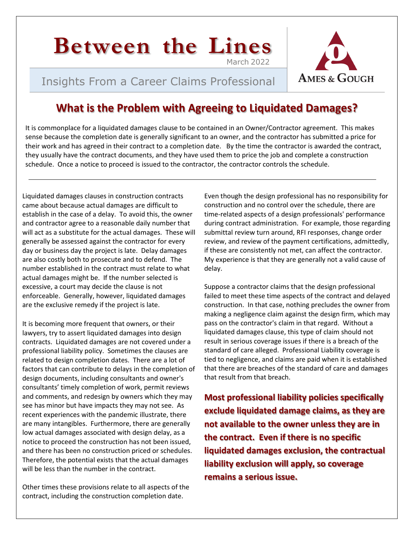# **Between the Lines** March 2022

# Insights From a Career Claims Professional



# **What is the Problem with Agreeing to Liquidated Damages?**

It is commonplace for a liquidated damages clause to be contained in an Owner/Contractor agreement. This makes sense because the completion date is generally significant to an owner, and the contractor has submitted a price for their work and has agreed in their contract to a completion date. By the time the contractor is awarded the contract, they usually have the contract documents, and they have used them to price the job and complete a construction schedule. Once a notice to proceed is issued to the contractor, the contractor controls the schedule.

Liquidated damages clauses in construction contracts came about because actual damages are difficult to establish in the case of a delay. To avoid this, the owner and contractor agree to a reasonable daily number that will act as a substitute for the actual damages. These will generally be assessed against the contractor for every day or business day the project is late. Delay damages are also costly both to prosecute and to defend. The number established in the contract must relate to what actual damages might be. If the number selected is excessive, a court may decide the clause is not enforceable. Generally, however, liquidated damages are the exclusive remedy if the project is late.

It is becoming more frequent that owners, or their lawyers, try to assert liquidated damages into design contracts. Liquidated damages are not covered under a professional liability policy. Sometimes the clauses are related to design completion dates. There are a lot of factors that can contribute to delays in the completion of design documents, including consultants and owner's consultants' timely completion of work, permit reviews and comments, and redesign by owners which they may see has minor but have impacts they may not see. As recent experiences with the pandemic illustrate, there are many intangibles. Furthermore, there are generally low actual damages associated with design delay, as a notice to proceed the construction has not been issued, and there has been no construction priced or schedules. Therefore, the potential exists that the actual damages will be less than the number in the contract.

Other times these provisions relate to all aspects of the contract, including the construction completion date.

Even though the design professional has no responsibility for construction and no control over the schedule, there are time-related aspects of a design professionals' performance during contract administration. For example, those regarding submittal review turn around, RFI responses, change order review, and review of the payment certifications, admittedly, if these are consistently not met, can affect the contractor. My experience is that they are generally not a valid cause of delay.

Suppose a contractor claims that the design professional failed to meet these time aspects of the contract and delayed construction. In that case, nothing precludes the owner from making a negligence claim against the design firm, which may pass on the contractor's claim in that regard. Without a liquidated damages clause, this type of claim should not result in serious coverage issues if there is a breach of the standard of care alleged. Professional Liability coverage is tied to negligence, and claims are paid when it is established that there are breaches of the standard of care and damages that result from that breach.

**Most professional liability policies specifically exclude liquidated damage claims, as they are not available to the owner unless they are in the contract. Even if there is no specific liquidated damages exclusion, the contractual liability exclusion will apply, so coverage remains a serious issue.**